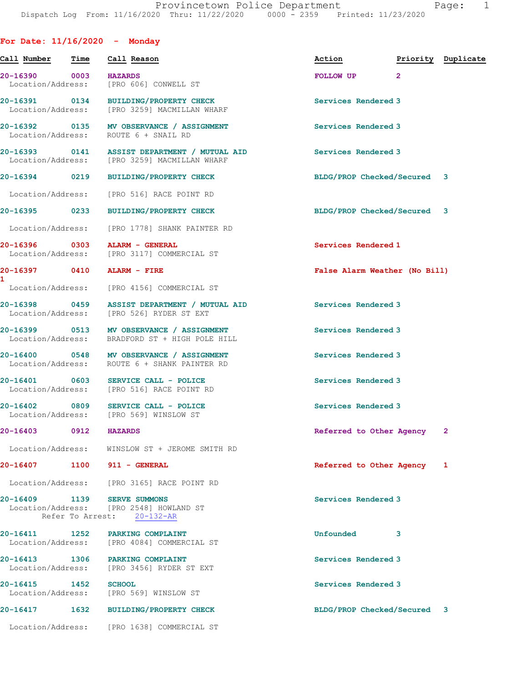| Time<br>$\sim$ 0003<br>Location/Address:<br>20-16391 0134 | Call Reason<br><b>HAZARDS</b><br>[PRO 606] CONWELL ST<br>BUILDING/PROPERTY CHECK<br>Location/Address: [PRO 3259] MACMILLAN WHARF                                                                                                                                                                        | Action<br>FOLLOW UP                                                                                                                                                                                                                                                                                                                                                                                                                                                                                                                                                                                                                                                                                          | Priority Duplicate<br>$\overline{2}$ |                                                                                                                                                                                                                                                                                                                                                                                                                                                 |
|-----------------------------------------------------------|---------------------------------------------------------------------------------------------------------------------------------------------------------------------------------------------------------------------------------------------------------------------------------------------------------|--------------------------------------------------------------------------------------------------------------------------------------------------------------------------------------------------------------------------------------------------------------------------------------------------------------------------------------------------------------------------------------------------------------------------------------------------------------------------------------------------------------------------------------------------------------------------------------------------------------------------------------------------------------------------------------------------------------|--------------------------------------|-------------------------------------------------------------------------------------------------------------------------------------------------------------------------------------------------------------------------------------------------------------------------------------------------------------------------------------------------------------------------------------------------------------------------------------------------|
|                                                           |                                                                                                                                                                                                                                                                                                         |                                                                                                                                                                                                                                                                                                                                                                                                                                                                                                                                                                                                                                                                                                              |                                      |                                                                                                                                                                                                                                                                                                                                                                                                                                                 |
|                                                           |                                                                                                                                                                                                                                                                                                         |                                                                                                                                                                                                                                                                                                                                                                                                                                                                                                                                                                                                                                                                                                              |                                      |                                                                                                                                                                                                                                                                                                                                                                                                                                                 |
|                                                           |                                                                                                                                                                                                                                                                                                         | Services Rendered 3                                                                                                                                                                                                                                                                                                                                                                                                                                                                                                                                                                                                                                                                                          |                                      |                                                                                                                                                                                                                                                                                                                                                                                                                                                 |
|                                                           | MV OBSERVANCE / ASSIGNMENT                                                                                                                                                                                                                                                                              |                                                                                                                                                                                                                                                                                                                                                                                                                                                                                                                                                                                                                                                                                                              |                                      |                                                                                                                                                                                                                                                                                                                                                                                                                                                 |
|                                                           |                                                                                                                                                                                                                                                                                                         |                                                                                                                                                                                                                                                                                                                                                                                                                                                                                                                                                                                                                                                                                                              |                                      |                                                                                                                                                                                                                                                                                                                                                                                                                                                 |
|                                                           | <b>BUILDING/PROPERTY CHECK</b>                                                                                                                                                                                                                                                                          |                                                                                                                                                                                                                                                                                                                                                                                                                                                                                                                                                                                                                                                                                                              |                                      |                                                                                                                                                                                                                                                                                                                                                                                                                                                 |
|                                                           |                                                                                                                                                                                                                                                                                                         |                                                                                                                                                                                                                                                                                                                                                                                                                                                                                                                                                                                                                                                                                                              |                                      |                                                                                                                                                                                                                                                                                                                                                                                                                                                 |
|                                                           | BUILDING/PROPERTY CHECK                                                                                                                                                                                                                                                                                 |                                                                                                                                                                                                                                                                                                                                                                                                                                                                                                                                                                                                                                                                                                              |                                      |                                                                                                                                                                                                                                                                                                                                                                                                                                                 |
|                                                           |                                                                                                                                                                                                                                                                                                         |                                                                                                                                                                                                                                                                                                                                                                                                                                                                                                                                                                                                                                                                                                              |                                      |                                                                                                                                                                                                                                                                                                                                                                                                                                                 |
|                                                           |                                                                                                                                                                                                                                                                                                         |                                                                                                                                                                                                                                                                                                                                                                                                                                                                                                                                                                                                                                                                                                              |                                      |                                                                                                                                                                                                                                                                                                                                                                                                                                                 |
|                                                           |                                                                                                                                                                                                                                                                                                         |                                                                                                                                                                                                                                                                                                                                                                                                                                                                                                                                                                                                                                                                                                              |                                      |                                                                                                                                                                                                                                                                                                                                                                                                                                                 |
|                                                           |                                                                                                                                                                                                                                                                                                         |                                                                                                                                                                                                                                                                                                                                                                                                                                                                                                                                                                                                                                                                                                              |                                      |                                                                                                                                                                                                                                                                                                                                                                                                                                                 |
|                                                           | ASSIST DEPARTMENT / MUTUAL AID                                                                                                                                                                                                                                                                          |                                                                                                                                                                                                                                                                                                                                                                                                                                                                                                                                                                                                                                                                                                              |                                      |                                                                                                                                                                                                                                                                                                                                                                                                                                                 |
|                                                           | MV OBSERVANCE / ASSIGNMENT<br>BRADFORD ST + HIGH POLE HILL                                                                                                                                                                                                                                              |                                                                                                                                                                                                                                                                                                                                                                                                                                                                                                                                                                                                                                                                                                              |                                      |                                                                                                                                                                                                                                                                                                                                                                                                                                                 |
|                                                           | MV OBSERVANCE / ASSIGNMENT                                                                                                                                                                                                                                                                              |                                                                                                                                                                                                                                                                                                                                                                                                                                                                                                                                                                                                                                                                                                              |                                      |                                                                                                                                                                                                                                                                                                                                                                                                                                                 |
|                                                           |                                                                                                                                                                                                                                                                                                         |                                                                                                                                                                                                                                                                                                                                                                                                                                                                                                                                                                                                                                                                                                              |                                      |                                                                                                                                                                                                                                                                                                                                                                                                                                                 |
|                                                           | SERVICE CALL - POLICE                                                                                                                                                                                                                                                                                   |                                                                                                                                                                                                                                                                                                                                                                                                                                                                                                                                                                                                                                                                                                              |                                      |                                                                                                                                                                                                                                                                                                                                                                                                                                                 |
| 0912                                                      | <b>HAZARDS</b>                                                                                                                                                                                                                                                                                          |                                                                                                                                                                                                                                                                                                                                                                                                                                                                                                                                                                                                                                                                                                              |                                      | 2                                                                                                                                                                                                                                                                                                                                                                                                                                               |
|                                                           |                                                                                                                                                                                                                                                                                                         |                                                                                                                                                                                                                                                                                                                                                                                                                                                                                                                                                                                                                                                                                                              |                                      |                                                                                                                                                                                                                                                                                                                                                                                                                                                 |
| 1100                                                      |                                                                                                                                                                                                                                                                                                         |                                                                                                                                                                                                                                                                                                                                                                                                                                                                                                                                                                                                                                                                                                              |                                      | 1                                                                                                                                                                                                                                                                                                                                                                                                                                               |
|                                                           |                                                                                                                                                                                                                                                                                                         |                                                                                                                                                                                                                                                                                                                                                                                                                                                                                                                                                                                                                                                                                                              |                                      |                                                                                                                                                                                                                                                                                                                                                                                                                                                 |
| 1139                                                      | <b>SERVE SUMMONS</b><br>[PRO 2548] HOWLAND ST<br>$20 - 132 - AR$                                                                                                                                                                                                                                        |                                                                                                                                                                                                                                                                                                                                                                                                                                                                                                                                                                                                                                                                                                              |                                      |                                                                                                                                                                                                                                                                                                                                                                                                                                                 |
| 1252                                                      | PARKING COMPLAINT<br>[PRO 4084] COMMERCIAL ST                                                                                                                                                                                                                                                           | Unfounded                                                                                                                                                                                                                                                                                                                                                                                                                                                                                                                                                                                                                                                                                                    | 3                                    |                                                                                                                                                                                                                                                                                                                                                                                                                                                 |
| 1306                                                      | PARKING COMPLAINT<br>[PRO 3456] RYDER ST EXT                                                                                                                                                                                                                                                            |                                                                                                                                                                                                                                                                                                                                                                                                                                                                                                                                                                                                                                                                                                              |                                      |                                                                                                                                                                                                                                                                                                                                                                                                                                                 |
| 1452                                                      | <b>SCHOOL</b><br>[PRO 569] WINSLOW ST                                                                                                                                                                                                                                                                   |                                                                                                                                                                                                                                                                                                                                                                                                                                                                                                                                                                                                                                                                                                              |                                      |                                                                                                                                                                                                                                                                                                                                                                                                                                                 |
| 1632                                                      | <b>BUILDING/PROPERTY CHECK</b>                                                                                                                                                                                                                                                                          |                                                                                                                                                                                                                                                                                                                                                                                                                                                                                                                                                                                                                                                                                                              |                                      |                                                                                                                                                                                                                                                                                                                                                                                                                                                 |
|                                                           | [PRO 1638] COMMERCIAL ST                                                                                                                                                                                                                                                                                |                                                                                                                                                                                                                                                                                                                                                                                                                                                                                                                                                                                                                                                                                                              |                                      |                                                                                                                                                                                                                                                                                                                                                                                                                                                 |
|                                                           | Location/Address:<br>20-16394 0219<br>Location/Address:<br>20-16395 0233<br>Location/Address:<br>20-16398 0459<br>Location/Address:<br>20-16400 0548<br>Location/Address:<br>Location/Address:<br>Location/Address:<br>Location/Address:<br>Location/Address:<br>Location/Address:<br>Location/Address: | 20-16392 0135<br>ROUTE 6 + SNAIL RD<br>20-16393 0141 ASSIST DEPARTMENT / MUTUAL AID<br>Location/Address: [PRO 3259] MACMILLAN WHARF<br>[PRO 516] RACE POINT RD<br>[PRO 1778] SHANK PAINTER RD<br>20-16396 0303 ALARM - GENERAL<br>Location/Address: [PRO 3117] COMMERCIAL ST<br>20-16397 0410 ALARM - FIRE<br>Location/Address: [PRO 4156] COMMERCIAL ST<br>Location/Address: [PRO 526] RYDER ST EXT<br>20-16399 0513<br>Location/Address: ROUTE 6 + SHANK PAINTER RD<br>20-16401 0603 SERVICE CALL - POLICE<br>Location/Address: [PRO 516] RACE POINT RD<br>0809<br>Location/Address: [PRO 569] WINSLOW ST<br>WINSLOW ST + JEROME SMITH RD<br>911 - GENERAL<br>[PRO 3165] RACE POINT RD<br>Refer To Arrest: |                                      | Services Rendered 3<br>Services Rendered 3<br>BLDG/PROP Checked/Secured 3<br>BLDG/PROP Checked/Secured 3<br>Services Rendered 1<br>False Alarm Weather (No Bill)<br>Services Rendered 3<br>Services Rendered 3<br>Services Rendered 3<br>Services Rendered 3<br>Services Rendered 3<br>Referred to Other Agency<br>Referred to Other Agency<br>Services Rendered 3<br>Services Rendered 3<br>Services Rendered 3<br>BLDG/PROP Checked/Secured 3 |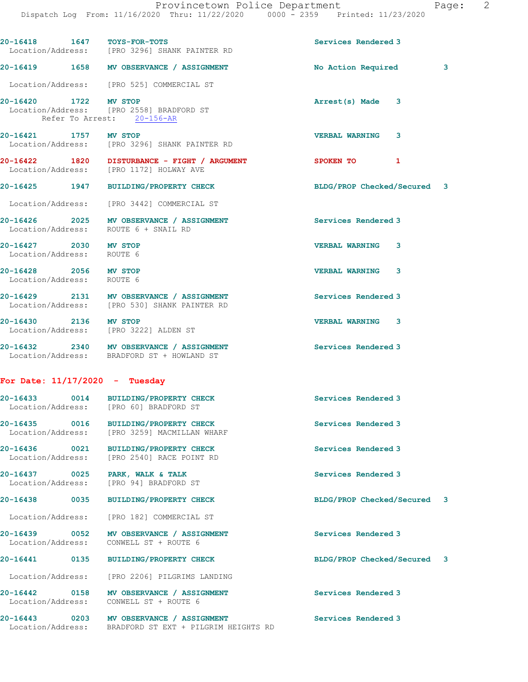| 20-16418   1647   TOYS-FOR-TOTS                    | Location/Address: [PRO 3296] SHANK PAINTER RD                                                      | Services Rendered 3         |  |
|----------------------------------------------------|----------------------------------------------------------------------------------------------------|-----------------------------|--|
|                                                    | 20-16419 1658 MV OBSERVANCE / ASSIGNMENT                                                           | No Action Required 3        |  |
|                                                    | Location/Address: [PRO 525] COMMERCIAL ST                                                          |                             |  |
| 20-16420 1722 MV STOP                              | Location/Address: [PRO 2558] BRADFORD ST<br>Refer To Arrest: 20-156-AR                             | Arrest(s) Made 3            |  |
| 20-16421 1757 MV STOP                              | Location/Address: [PRO 3296] SHANK PAINTER RD                                                      | <b>VERBAL WARNING</b><br>3  |  |
|                                                    | 20-16422 1820 DISTURBANCE - FIGHT / ARGUMENT<br>Location/Address: [PRO 1172] HOLWAY AVE            | SPOKEN TO 1                 |  |
|                                                    | 20-16425 1947 BUILDING/PROPERTY CHECK                                                              | BLDG/PROP Checked/Secured 3 |  |
|                                                    | Location/Address: [PRO 3442] COMMERCIAL ST                                                         |                             |  |
| Location/Address:                                  | 20-16426 2025 MV OBSERVANCE / ASSIGNMENT<br>ROUTE 6 + SNAIL RD                                     | Services Rendered 3         |  |
| 20-16427 2030 MV STOP<br>Location/Address: ROUTE 6 |                                                                                                    | <b>VERBAL WARNING 3</b>     |  |
| 20-16428 2056 MV STOP<br>Location/Address: ROUTE 6 |                                                                                                    | <b>VERBAL WARNING</b><br>3  |  |
|                                                    | 20-16429 2131 MV OBSERVANCE / ASSIGNMENT<br>Location/Address: [PRO 530] SHANK PAINTER RD           | Services Rendered 3         |  |
| 20-16430 2136 MV STOP                              | Location/Address: [PRO 3222] ALDEN ST                                                              | <b>VERBAL WARNING 3</b>     |  |
|                                                    | 20-16432 2340 MV OBSERVANCE / ASSIGNMENT<br>Location/Address: BRADFORD ST + HOWLAND ST             | Services Rendered 3         |  |
| For Date: $11/17/2020$ - Tuesday                   |                                                                                                    |                             |  |
|                                                    | 20-16433 0014 BUILDING/PROPERTY CHECK<br>Location/Address: [PRO 60] BRADFORD ST                    | Services Rendered 3         |  |
| 20-16435 0016<br>Location/Address:                 | <b>BUILDING/PROPERTY CHECK</b><br>[PRO 3259] MACMILLAN WHARF                                       | Services Rendered 3         |  |
|                                                    | 20-16436 0021 BUILDING/PROPERTY CHECK<br>Location/Address: [PRO 2540] RACE POINT RD                | Services Rendered 3         |  |
| Location/Address:                                  | 20-16437 0025 PARK, WALK & TALK<br>[PRO 94] BRADFORD ST                                            | Services Rendered 3         |  |
|                                                    | 20-16438 0035 BUILDING/PROPERTY CHECK                                                              | BLDG/PROP Checked/Secured 3 |  |
| Location/Address:                                  | [PRO 182] COMMERCIAL ST                                                                            |                             |  |
| Location/Address:                                  | 20-16439 0052 MV OBSERVANCE / ASSIGNMENT<br>CONWELL ST + ROUTE 6                                   | Services Rendered 3         |  |
|                                                    | 20-16441 0135 BUILDING/PROPERTY CHECK                                                              | BLDG/PROP Checked/Secured 3 |  |
| Location/Address:                                  | [PRO 2206] PILGRIMS LANDING                                                                        |                             |  |
|                                                    | 20-16442 0158 MV OBSERVANCE / ASSIGNMENT<br>Location/Address: CONWELL ST + ROUTE 6                 | Services Rendered 3         |  |
|                                                    | 20-16443 0203 MV OBSERVANCE / ASSIGNMENT<br>Location/Address: BRADFORD ST EXT + PILGRIM HEIGHTS RD | Services Rendered 3         |  |
|                                                    |                                                                                                    |                             |  |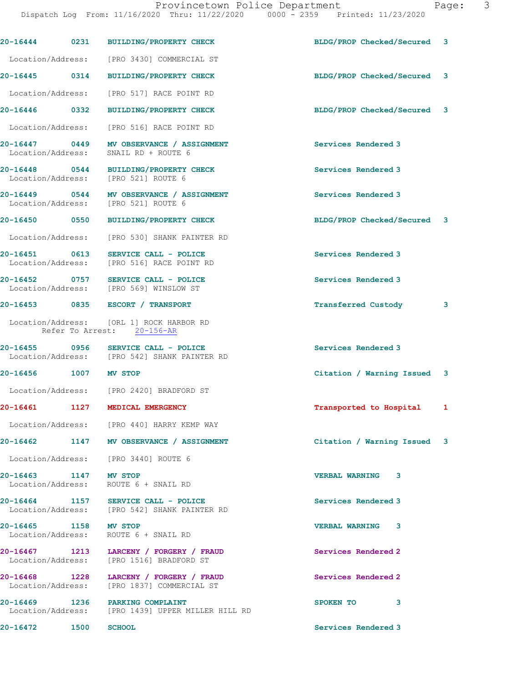|                                            |      | 20-16444 0231 BUILDING/PROPERTY CHECK                                                 | BLDG/PROP Checked/Secured 3 |   |
|--------------------------------------------|------|---------------------------------------------------------------------------------------|-----------------------------|---|
|                                            |      | Location/Address: [PRO 3430] COMMERCIAL ST                                            |                             |   |
| 20-16445 0314                              |      | <b>BUILDING/PROPERTY CHECK</b>                                                        | BLDG/PROP Checked/Secured 3 |   |
|                                            |      | Location/Address: [PRO 517] RACE POINT RD                                             |                             |   |
| 20-16446 0332                              |      | <b>BUILDING/PROPERTY CHECK</b>                                                        | BLDG/PROP Checked/Secured 3 |   |
| Location/Address:                          |      | [PRO 516] RACE POINT RD                                                               |                             |   |
|                                            |      | 20-16447 0449 MV OBSERVANCE / ASSIGNMENT<br>Location/Address: SNAIL RD + ROUTE 6      | Services Rendered 3         |   |
|                                            |      | 20-16448 0544 BUILDING/PROPERTY CHECK<br>Location/Address: [PRO 521] ROUTE 6          | Services Rendered 3         |   |
|                                            |      | 20-16449 0544 MV OBSERVANCE / ASSIGNMENT<br>Location/Address: [PRO 521] ROUTE 6       | Services Rendered 3         |   |
| 20-16450 0550                              |      | BUILDING/PROPERTY CHECK                                                               | BLDG/PROP Checked/Secured 3 |   |
|                                            |      | Location/Address: [PRO 530] SHANK PAINTER RD                                          |                             |   |
| 20-16451 0613                              |      | SERVICE CALL - POLICE<br>Location/Address: [PRO 516] RACE POINT RD                    | Services Rendered 3         |   |
|                                            |      | 20-16452 0757 SERVICE CALL - POLICE<br>Location/Address: [PRO 569] WINSLOW ST         | Services Rendered 3         |   |
|                                            |      | 20-16453 0835 ESCORT / TRANSPORT                                                      | <b>Transferred Custody</b>  | 3 |
|                                            |      | Location/Address: [ORL 1] ROCK HARBOR RD<br>Refer To Arrest: 20-156-AR                |                             |   |
|                                            |      | 20-16455 0956 SERVICE CALL - POLICE<br>Location/Address: [PRO 542] SHANK PAINTER RD   | Services Rendered 3         |   |
| 20-16456 1007 MV STOP                      |      |                                                                                       | Citation / Warning Issued 3 |   |
|                                            |      | Location/Address: [PRO 2420] BRADFORD ST                                              |                             |   |
| 20-16461                                   |      | 1127 MEDICAL EMERGENCY                                                                | Transported to Hospital 1   |   |
|                                            |      | Location/Address: [PRO 440] HARRY KEMP WAY                                            |                             |   |
|                                            |      | 20-16462 1147 MV OBSERVANCE / ASSIGNMENT                                              | Citation / Warning Issued 3 |   |
|                                            |      | Location/Address: [PRO 3440] ROUTE 6                                                  |                             |   |
| 20-16463 1147 MV STOP<br>Location/Address: |      | ROUTE 6 + SNAIL RD                                                                    | <b>VERBAL WARNING 3</b>     |   |
|                                            |      | 20-16464 1157 SERVICE CALL - POLICE<br>Location/Address: [PRO 542] SHANK PAINTER RD   | Services Rendered 3         |   |
| 20-16465 1158 MV STOP                      |      | Location/Address: ROUTE 6 + SNAIL RD                                                  | <b>VERBAL WARNING 3</b>     |   |
|                                            |      | 20-16467 1213 LARCENY / FORGERY / FRAUD<br>Location/Address: [PRO 1516] BRADFORD ST   | Services Rendered 2         |   |
|                                            |      | 20-16468 1228 LARCENY / FORGERY / FRAUD<br>Location/Address: [PRO 1837] COMMERCIAL ST | Services Rendered 2         |   |
|                                            |      | 20-16469 1236 PARKING COMPLAINT<br>Location/Address: [PRO 1439] UPPER MILLER HILL RD  | SPOKEN TO<br>3              |   |
| 20-16472                                   | 1500 | <b>SCHOOL</b>                                                                         | Services Rendered 3         |   |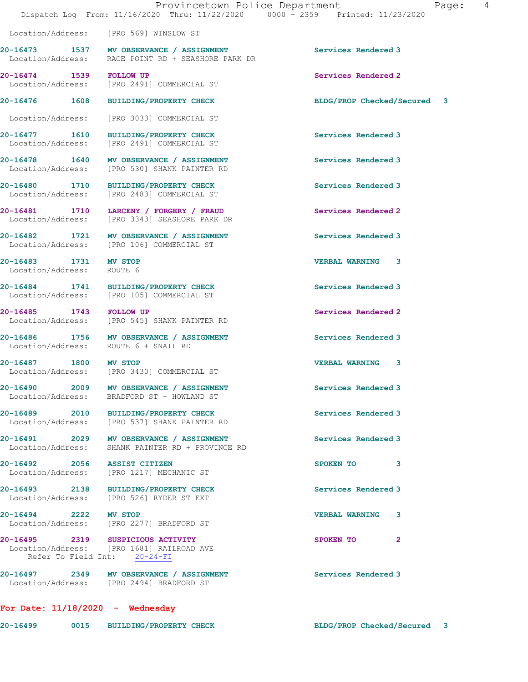Location/Address: [PRO 569] WINSLOW ST

[PRO 2491] COMMERCIAL ST

[PRO 2491] COMMERCIAL ST

[PRO 2483] COMMERCIAL ST

[PRO 106] COMMERCIAL ST

[PRO 545] SHANK PAINTER RD

[PRO 1217] MECHANIC ST

20-16473 1537 MV OBSERVANCE / ASSIGNMENT Services Rendered 3 Location/Address: RACE POINT RD + SEASHORE PARK DR

20-16474 1539 FOLLOW UP <br>
Location/Address: [PRO 2491] COMMERCIAL ST

20-16476 1608 BUILDING/PROPERTY CHECK BLDG/PROP Checked/Secured 3

Location/Address: [PRO 3033] COMMERCIAL ST

20-16477 1610 BUILDING/PROPERTY CHECK Services Rendered 3<br>
Location/Address: [PRO 2491] COMMERCIAL ST

20-16478 1640 MV OBSERVANCE / ASSIGNMENT Services Rendered 3 Location/Address: [PRO 530] SHANK PAINTER RD

20-16480 1710 BUILDING/PROPERTY CHECK Services Rendered 3<br>
Location/Address: [PRO 2483] COMMERCIAL ST

20-16481 1710 LARCENY / FORGERY / FRAUD Services Rendered 2 Location/Address: [PRO 3343] SEASHORE PARK DR

20-16482 1721 MV OBSERVANCE / ASSIGNMENT Services Rendered 3<br>
Location/Address: [PRO 106] COMMERCIAL ST

20-16483 1731 MV STOP VERBAL WARNING 3 Location/Address: ROUTE 6

20-16484 1741 BUILDING/PROPERTY CHECK Services Rendered 3 Location/Address: [PRO 105] COMMERCIAL ST

20-16485 1743 FOLLOW UP 20-16485 20-16485 Services Rendered 2

20-16486 1756 MV OBSERVANCE / ASSIGNMENT Services Rendered 3 Location/Address: ROUTE 6 + SNAIL RD

20-16487 1800 MV STOP VERBAL WARNING 3 Location/Address: [PRO 3430] COMMERCIAL ST

20-16490 2009 MV OBSERVANCE / ASSIGNMENT Services Rendered 3 Location/Address: BRADFORD ST + HOWLAND ST

20-16489 2010 BUILDING/PROPERTY CHECK Services Rendered 3 Location/Address: [PRO 537] SHANK PAINTER RD

20-16491 2029 MV OBSERVANCE / ASSIGNMENT Services Rendered 3 Location/Address: SHANK PAINTER RD + PROVINCE RD

Location/Address: [PRO 526] RYDER ST EXT

20-16494 2222 MV STOP VERBAL WARNING 3 Location/Address: [PRO 2277] BRADFORD ST

20-16495 2319 SUSPICIOUS ACTIVITY 2000 SPOKEN TO 2 Location/Address: [PRO 1681] RAILROAD AVE Refer To Field Int: 20-24-FI

20-16497 2349 MV OBSERVANCE / ASSIGNMENT Services Rendered 3 Location/Address: [PRO 2494] BRADFORD ST

For Date: 11/18/2020 - Wednesday

20-16499 0015 BUILDING/PROPERTY CHECK BLDG/PROP Checked/Secured 3

20-16492 2056 ASSIST CITIZEN SPOKEN TO 3<br>
Location/Address: [PRO 1217] MECHANIC ST 20-16493 2138 BUILDING/PROPERTY CHECK Services Rendered 3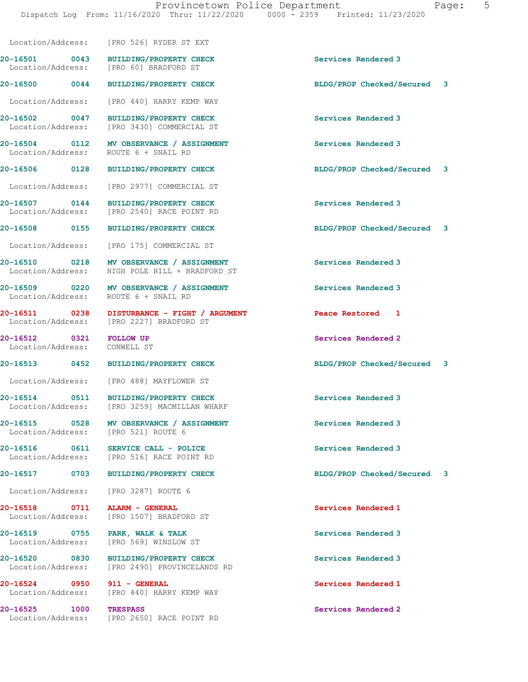Location/Address: [PRO 526] RYDER ST EXT 20-16501 0043 BUILDING/PROPERTY CHECK Services Rendered 3 Location/Address: [PRO 60] BRADFORD ST 20-16500 0044 BUILDING/PROPERTY CHECK BLDG/PROP Checked/Secured 3 Location/Address: [PRO 440] HARRY KEMP WAY 20-16502 0047 BUILDING/PROPERTY CHECK Services Rendered 3<br>
Location/Address: [PRO 3430] COMMERCIAL ST [PRO 3430] COMMERCIAL ST 20-16504 0112 MV OBSERVANCE / ASSIGNMENT Services Rendered 3 Location/Address: ROUTE 6 + SNAIL RD 20-16506 0128 BUILDING/PROPERTY CHECK BLDG/PROP Checked/Secured 3 Location/Address: [PRO 2977] COMMERCIAL ST 20-16507 0144 BUILDING/PROPERTY CHECK Services Rendered 3 Location/Address: [PRO 2540] RACE POINT RD 20-16508 0155 BUILDING/PROPERTY CHECK BLDG/PROP Checked/Secured 3 Location/Address: [PRO 175] COMMERCIAL ST 20-16510 0218 MV OBSERVANCE / ASSIGNMENT Services Rendered 3 Location/Address: HIGH POLE HILL + BRADFORD ST 20-16509 0220 MV OBSERVANCE / ASSIGNMENT Services Rendered 3 Location/Address: ROUTE 6 + SNAIL RD 20-16511 0238 DISTURBANCE - FIGHT / ARGUMENT Peace Restored 1 Location/Address: [PRO 2227] BRADFORD ST 20-16512 0321 FOLLOW UP Services Rendered 2 Location/Address: CONWELL ST 20-16513 0452 BUILDING/PROPERTY CHECK BLDG/PROP Checked/Secured 3 Location/Address: [PRO 488] MAYFLOWER ST 20-16514 0511 BUILDING/PROPERTY CHECK Services Rendered 3 Location/Address: [PRO 3259] MACMILLAN WHARF 20-16515 0528 MV OBSERVANCE / ASSIGNMENT Services Rendered 3 Location/Address: [PRO 521] ROUTE 6 20-16516 0611 SERVICE CALL - POLICE 20 Services Rendered 3<br>
Location/Address: [PRO 516] RACE POINT RD [PRO 516] RACE POINT RD 20-16517 0703 BUILDING/PROPERTY CHECK BLDG/PROP Checked/Secured 3 Location/Address: [PRO 3287] ROUTE 6 20-16518 0711 ALARM - GENERAL Services Rendered 1 Location/Address: [PRO 1507] BRADFORD ST 20-16519 0755 PARK, WALK & TALK Services Rendered 3 Location/Address: [PRO 569] WINSLOW ST 20-16520 0830 BUILDING/PROPERTY CHECK Services Rendered 3 Location/Address: [PRO 2490] PROVINCELANDS RD 20-16524 0950 911 - GENERAL Services Rendered 1 Location/Address: [PRO 440] HARRY KEMP WAY 20-16525 1000 TRESPASS Services Rendered 2 Location/Address: [PRO 2650] RACE POINT RD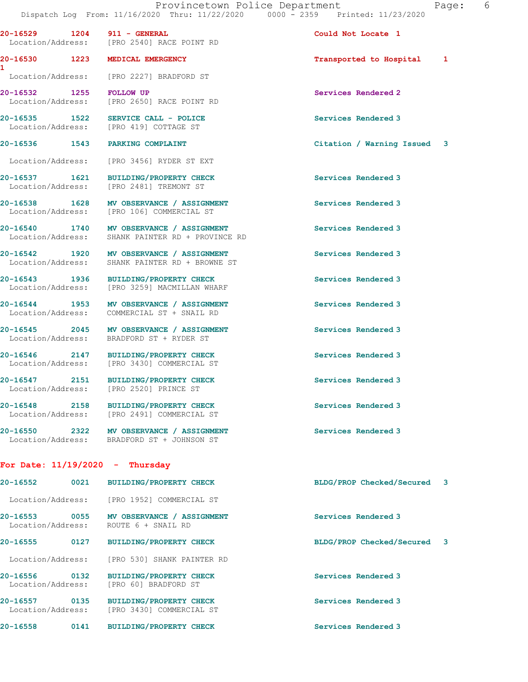20-16529 1204 911 - GENERAL Could Not Locate 1

 Location/Address: [PRO 2540] RACE POINT RD 20-16530 1223 MEDICAL EMERGENCY **1200** 1223 Transported to Hospital 1 Location/Address: [PRO 2227] BRADFORD ST

20-16532 1255 FOLLOW UP Services Rendered 2 Location/Address: [PRO 2650] RACE POINT RD

[PRO 419] COTTAGE ST

Location/Address: [PRO 3456] RYDER ST EXT

[PRO 3430] COMMERCIAL ST

20-16537 1621 BUILDING/PROPERTY CHECK Services Rendered 3 Location/Address: [PRO 2481] TREMONT ST

Location/Address: [PRO 106] COMMERCIAL ST

1

20-16540 1740 MV OBSERVANCE / ASSIGNMENT Services Rendered 3 Location/Address: SHANK PAINTER RD + PROVINCE RD

20-16542 1920 MV OBSERVANCE / ASSIGNMENT Services Rendered 3 Location/Address: SHANK PAINTER RD + BROWNE ST

20-16543 1936 BUILDING/PROPERTY CHECK Services Rendered 3 Location/Address: [PRO 3259] MACMILLAN WHARF

20-16544 1953 MV OBSERVANCE / ASSIGNMENT Services Rendered 3 Location/Address: COMMERCIAL ST + SNAIL RD

20-16545 2045 MV OBSERVANCE / ASSIGNMENT Services Rendered 3 Location/Address: BRADFORD ST + RYDER ST

20-16546 2147 BUILDING/PROPERTY CHECK Services Rendered 3<br>
Location/Address: [PRO 3430] COMMERCIAL ST

20-16547 2151 BUILDING/PROPERTY CHECK Services Rendered 3 Location/Address: [PRO 2520] PRINCE ST

20-16548 2158 BUILDING/PROPERTY CHECK Services Rendered 3 Location/Address: [PRO 2491] COMMERCIAL ST

20-16550 2322 MV OBSERVANCE / ASSIGNMENT Services Rendered 3 Location/Address: BRADFORD ST + JOHNSON ST

For Date: 11/19/2020 - Thursday

20-16552 0021 BUILDING/PROPERTY CHECK BLDG/PROP Checked/Secured 3 Location/Address: [PRO 1952] COMMERCIAL ST 20-16553 0055 MV OBSERVANCE / ASSIGNMENT Services Rendered 3 ROUTE 6 + SNAIL RD 20-16555 0127 BUILDING/PROPERTY CHECK BLDG/PROP Checked/Secured 3 Location/Address: [PRO 530] SHANK PAINTER RD 20-16556 0132 BUILDING/PROPERTY CHECK Services Rendered 3 Location/Address: [PRO 60] BRADFORD ST 20-16557 0135 BUILDING/PROPERTY CHECK Services Rendered 3 Location/Address: [PRO 3430] COMMERCIAL ST

20-16558 0141 BUILDING/PROPERTY CHECK Services Rendered 3

## 20-16535 1522 SERVICE CALL - POLICE Services Rendered 3<br>
Location/Address: [PRO 419] COTTAGE ST

20-16536 1543 PARKING COMPLAINT Citation / Warning Issued 3

20-16538 1628 MV OBSERVANCE / ASSIGNMENT Services Rendered 3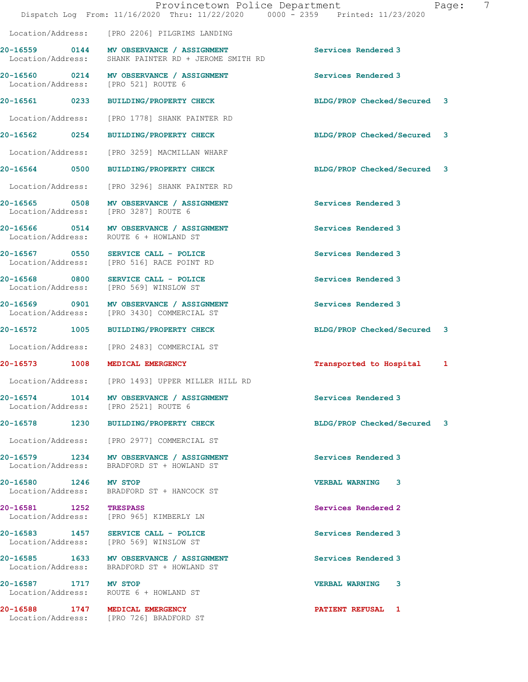|                        | Provincetown Police Department<br>Dispatch Log From: 11/16/2020 Thru: 11/22/2020 0000 - 2359 Printed: 11/23/2020 |                             | 7<br>Page: |
|------------------------|------------------------------------------------------------------------------------------------------------------|-----------------------------|------------|
|                        | Location/Address: [PRO 2206] PILGRIMS LANDING                                                                    |                             |            |
|                        | 20-16559 0144 MV OBSERVANCE / ASSIGNMENT<br>Location/Address: SHANK PAINTER RD + JEROME SMITH RD                 | Services Rendered 3         |            |
| Location/Address:      | 20-16560 0214 MV OBSERVANCE / ASSIGNMENT<br>[PRO 521] ROUTE 6                                                    | Services Rendered 3         |            |
|                        | 20-16561 0233 BUILDING/PROPERTY CHECK                                                                            | BLDG/PROP Checked/Secured 3 |            |
|                        | Location/Address: [PRO 1778] SHANK PAINTER RD                                                                    |                             |            |
|                        | 20-16562 0254 BUILDING/PROPERTY CHECK                                                                            | BLDG/PROP Checked/Secured 3 |            |
|                        | Location/Address: [PRO 3259] MACMILLAN WHARF                                                                     |                             |            |
|                        | 20-16564 0500 BUILDING/PROPERTY CHECK                                                                            | BLDG/PROP Checked/Secured 3 |            |
|                        | Location/Address: [PRO 3296] SHANK PAINTER RD                                                                    |                             |            |
|                        | 20-16565 0508 MV OBSERVANCE / ASSIGNMENT<br>Location/Address: [PRO 3287] ROUTE 6                                 | Services Rendered 3         |            |
|                        | 20-16566 0514 MV OBSERVANCE / ASSIGNMENT<br>Location/Address: ROUTE 6 + HOWLAND ST                               | Services Rendered 3         |            |
|                        | 20-16567 0550 SERVICE CALL - POLICE<br>Location/Address: [PRO 516] RACE POINT RD                                 | Services Rendered 3         |            |
|                        | 20-16568 0800 SERVICE CALL - POLICE<br>Location/Address: [PRO 569] WINSLOW ST                                    | Services Rendered 3         |            |
|                        | 20-16569 0901 MV OBSERVANCE / ASSIGNMENT<br>Location/Address: [PRO 3430] COMMERCIAL ST                           | Services Rendered 3         |            |
|                        | 20-16572 1005 BUILDING/PROPERTY CHECK                                                                            | BLDG/PROP Checked/Secured 3 |            |
|                        | Location/Address: [PRO 2483] COMMERCIAL ST                                                                       |                             |            |
|                        | 20-16573 1008 MEDICAL EMERGENCY                                                                                  | Transported to Hospital     | 1          |
|                        | Location/Address: [PRO 1493] UPPER MILLER HILL RD                                                                |                             |            |
|                        | 20-16574 1014 MV OBSERVANCE / ASSIGNMENT<br>Location/Address: [PRO 2521] ROUTE 6                                 | Services Rendered 3         |            |
|                        | 20-16578 1230 BUILDING/PROPERTY CHECK                                                                            | BLDG/PROP Checked/Secured 3 |            |
|                        | Location/Address: [PRO 2977] COMMERCIAL ST                                                                       |                             |            |
|                        | 20-16579 1234 MV OBSERVANCE / ASSIGNMENT<br>Location/Address: BRADFORD ST + HOWLAND ST                           | Services Rendered 3         |            |
| 20-16580 1246 MV STOP  | Location/Address: BRADFORD ST + HANCOCK ST                                                                       | VERBAL WARNING 3            |            |
| 20-16581 1252 TRESPASS | Location/Address: [PRO 965] KIMBERLY LN                                                                          | Services Rendered 2         |            |
|                        | 20-16583 1457 SERVICE CALL - POLICE<br>Location/Address: [PRO 569] WINSLOW ST                                    | Services Rendered 3         |            |
|                        | 20-16585 1633 MV OBSERVANCE / ASSIGNMENT<br>Location/Address: BRADFORD ST + HOWLAND ST                           | Services Rendered 3         |            |
| 20-16587 1717 MV STOP  | Location/Address: ROUTE 6 + HOWLAND ST                                                                           | VERBAL WARNING 3            |            |
|                        | 20-16588 1747 MEDICAL EMERGENCY<br>Location/Address: [PRO 726] BRADFORD ST                                       | <b>PATIENT REFUSAL 1</b>    |            |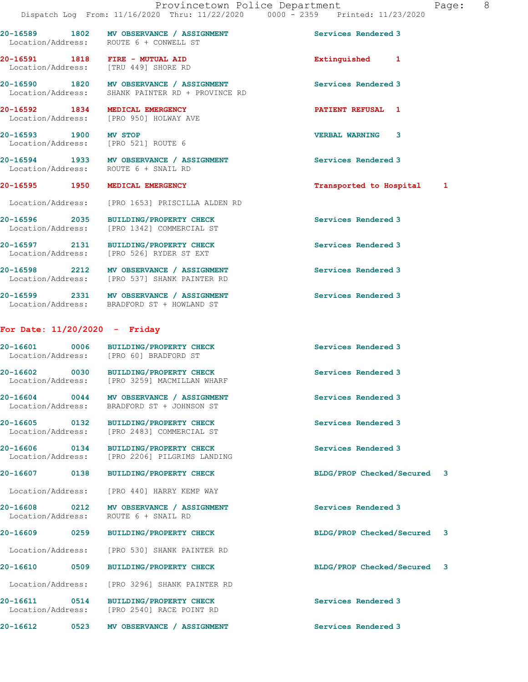|                                                                         | 20-16589 1802 MV OBSERVANCE / ASSIGNMENT<br>Location/Address: ROUTE 6 + CONWELL ST           | Services Rendered 3          |
|-------------------------------------------------------------------------|----------------------------------------------------------------------------------------------|------------------------------|
| 20-16591 1818 FIRE - MUTUAL AID<br>Location/Address: [TRU 449] SHORE RD |                                                                                              | Extinguished 1               |
|                                                                         | 20-16590 1820 MV OBSERVANCE / ASSIGNMENT<br>Location/Address: SHANK PAINTER RD + PROVINCE RD | Services Rendered 3          |
|                                                                         | 20-16592 1834 MEDICAL EMERGENCY<br>Location/Address: [PRO 950] HOLWAY AVE                    | <b>PATIENT REFUSAL 1</b>     |
| 20-16593 1900 MV STOP<br>Location/Address: [PRO 521] ROUTE 6            |                                                                                              | <b>VERBAL WARNING</b><br>3   |
| Location/Address: ROUTE 6 + SNAIL RD                                    | 20-16594 1933 MV OBSERVANCE / ASSIGNMENT                                                     | Services Rendered 3          |
| 20-16595 1950 MEDICAL EMERGENCY                                         |                                                                                              | Transported to Hospital<br>1 |
|                                                                         | Location/Address: [PRO 1653] PRISCILLA ALDEN RD                                              |                              |
|                                                                         | 20-16596 2035 BUILDING/PROPERTY CHECK<br>Location/Address: [PRO 1342] COMMERCIAL ST          | Services Rendered 3          |
|                                                                         | 20-16597 2131 BUILDING/PROPERTY CHECK<br>Location/Address: [PRO 526] RYDER ST EXT            | Services Rendered 3          |
|                                                                         | 20-16598 2212 MV OBSERVANCE / ASSIGNMENT<br>Location/Address: [PRO 537] SHANK PAINTER RD     | Services Rendered 3          |
|                                                                         | 20-16599 2331 MV OBSERVANCE / ASSIGNMENT<br>Location/Address: BRADFORD ST + HOWLAND ST       | Services Rendered 3          |
| For Date: $11/20/2020 -$ Friday                                         |                                                                                              |                              |
|                                                                         | 20-16601 0006 BUILDING/PROPERTY CHECK<br>Location/Address: [PRO 60] BRADFORD ST              | Services Rendered 3          |
|                                                                         | 20-16602 0030 BUILDING/PROPERTY CHECK<br>Location/Address: [PRO 3259] MACMILLAN WHARF        | Services Rendered 3          |
| Location/Address:                                                       | 20-16604 0044 MV OBSERVANCE / ASSIGNMENT<br>BRADFORD ST + JOHNSON ST                         | Services Rendered 3          |

20-16605 0132 BUILDING/PROPERTY CHECK Services Rendered 3 Location/Address: [PRO 2483] COMMERCIAL ST

20-16606 0134 BUILDING/PROPERTY CHECK Services Rendered 3 Location/Address: [PRO 2206] PILGRIMS LANDING

20-16607 0138 BUILDING/PROPERTY CHECK BLDG/PROP Checked/Secured 3

Location/Address: [PRO 440] HARRY KEMP WAY

20-16608 0212 MV OBSERVANCE / ASSIGNMENT Services Rendered 3 Location/Address: ROUTE 6 + SNAIL RD

20-16609 0259 BUILDING/PROPERTY CHECK BLDG/PROP Checked/Secured 3

Location/Address: [PRO 530] SHANK PAINTER RD

20-16610 0509 BUILDING/PROPERTY CHECK BLDG/PROP Checked/Secured 3

Location/Address: [PRO 3296] SHANK PAINTER RD

20-16611 0514 BUILDING/PROPERTY CHECK Services Rendered 3 Location/Address: [PRO 2540] RACE POINT RD

20-16612 0523 MV OBSERVANCE / ASSIGNMENT Services Rendered 3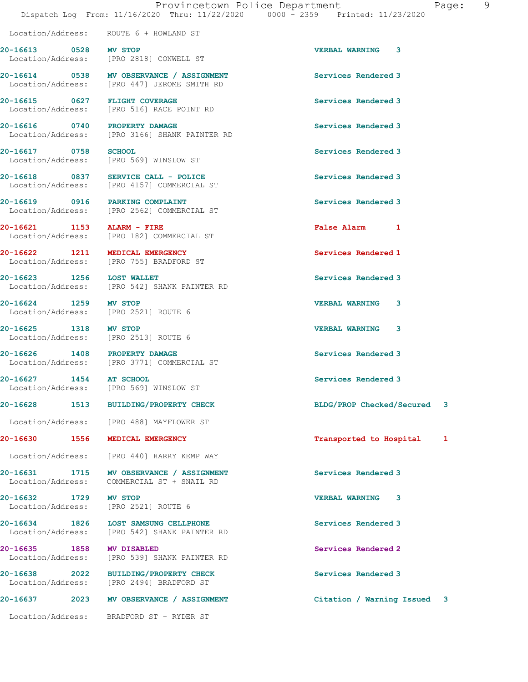Location/Address: ROUTE 6 + HOWLAND ST

20-16613 0528 MV STOP VERBAL WARNING 3 Location/Address: [PRO 2818] CONWELL ST 20-16614 0538 MV OBSERVANCE / ASSIGNMENT Services Rendered 3 [PRO 447] JEROME SMITH RD 20-16615 0627 FLIGHT COVERAGE Services Rendered 3 Location/Address: [PRO 516] RACE POINT RD 20-16616 0740 PROPERTY DAMAGE Services Rendered 3 Location/Address: [PRO 3166] SHANK PAINTER RD 20-16617 0758 SCHOOL Services Rendered 3 Location/Address: [PRO 569] WINSLOW ST 20-16618 0837 SERVICE CALL - POLICE 3 Services Rendered 3 Location/Address: [PRO 4157] COMMERCIAL ST 20-16619 0916 PARKING COMPLAINT Services Rendered 3 Location/Address: [PRO 2562] COMMERCIAL ST 20-16621 1153 ALARM - FIRE False Alarm 1 [PRO 182] COMMERCIAL ST 20-16622 1211 MEDICAL EMERGENCY Services Rendered 1 Location/Address: [PRO 755] BRADFORD ST 20-16623 1256 LOST WALLET **Services Rendered 3**  Location/Address: [PRO 542] SHANK PAINTER RD 20-16624 1259 MV STOP VERBAL WARNING 3 Location/Address: [PRO 2521] ROUTE 6 20-16625 1318 MV STOP VERBAL WARNING 3 Location/Address: [PRO 2513] ROUTE 6 20-16626 1408 PROPERTY DAMAGE Services Rendered 3<br>
Location/Address: [PRO 3771] COMMERCIAL ST [PRO 3771] COMMERCIAL ST 20-16627 1454 AT SCHOOL 20-16627 Services Rendered 3 Location/Address: [PRO 569] WINSLOW ST 20-16628 1513 BUILDING/PROPERTY CHECK BLDG/PROP Checked/Secured 3 Location/Address: [PRO 488] MAYFLOWER ST 20-16630 1556 MEDICAL EMERGENCY **120-16630** 1556 1 Location/Address: [PRO 440] HARRY KEMP WAY 20-16631 1715 MV OBSERVANCE / ASSIGNMENT Services Rendered 3<br>
Location/Address: COMMERCIAL ST + SNAIL RD COMMERCIAL ST + SNAIL RD 20-16632 1729 MV STOP VERBAL WARNING 3 Location/Address: [PRO 2521] ROUTE 6 20-16634 1826 LOST SAMSUNG CELLPHONE Services Rendered 3 Location/Address: [PRO 542] SHANK PAINTER RD 20-16635 1858 MV DISABLED Services Rendered 2 Location/Address: [PRO 539] SHANK PAINTER RD 20-16638 2022 BUILDING/PROPERTY CHECK Services Rendered 3 Location/Address: [PRO 2494] BRADFORD ST 20-16637 2023 MV OBSERVANCE / ASSIGNMENT Citation / Warning Issued 3 Location/Address: BRADFORD ST + RYDER ST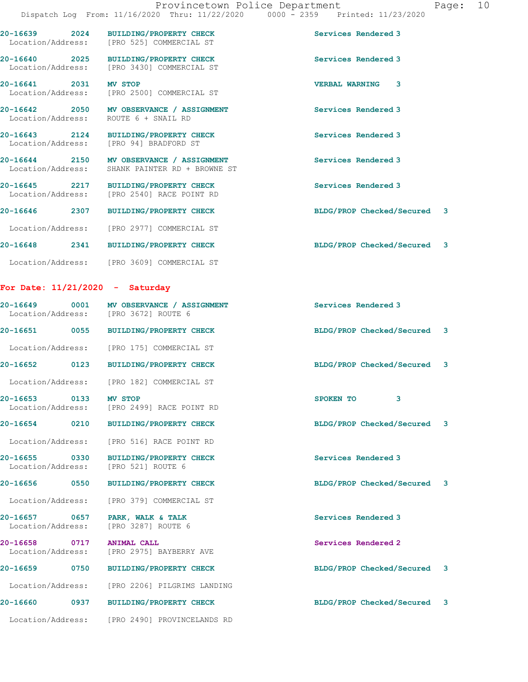20-16639 2024 BUILDING/PROPERTY CHECK Services Rendered 3 Location/Address: [PRO 525] COMMERCIAL ST 20-16640 2025 BUILDING/PROPERTY CHECK Services Rendered 3 Location/Address: [PRO 3430] COMMERCIAL ST 20-16641 2031 MV STOP VERBAL WARNING 3 Location/Address: [PRO 2500] COMMERCIAL ST 20-16642 2050 MV OBSERVANCE / ASSIGNMENT Services Rendered 3 Location/Address: ROUTE 6 + SNAIL RD 20-16643 2124 BUILDING/PROPERTY CHECK Services Rendered 3 Location/Address: [PRO 94] BRADFORD ST 20-16644 2150 MV OBSERVANCE / ASSIGNMENT Services Rendered 3

 Location/Address: SHANK PAINTER RD + BROWNE ST 20-16645 2217 BUILDING/PROPERTY CHECK Services Rendered 3 Location/Address: [PRO 2540] RACE POINT RD

20-16646 2307 BUILDING/PROPERTY CHECK BLDG/PROP Checked/Secured 3 Location/Address: [PRO 2977] COMMERCIAL ST

20-16648 2341 BUILDING/PROPERTY CHECK BLDG/PROP Checked/Secured 3 Location/Address: [PRO 3609] COMMERCIAL ST

## For Date: 11/21/2020 - Saturday

Location/Address: [PRO 2490] PROVINCELANDS RD

|                           | 20-16649 0001 MV OBSERVANCE / ASSIGNMENT<br>Location/Address: [PRO 3672] ROUTE 6 | Services Rendered 3                  |  |
|---------------------------|----------------------------------------------------------------------------------|--------------------------------------|--|
|                           | 20-16651 0055 BUILDING/PROPERTY CHECK                                            | BLDG/PROP Checked/Secured 3          |  |
|                           | Location/Address: [PRO 175] COMMERCIAL ST                                        |                                      |  |
|                           | 20-16652 0123 BUILDING/PROPERTY CHECK                                            | BLDG/PROP Checked/Secured 3          |  |
|                           | Location/Address: [PRO 182] COMMERCIAL ST                                        |                                      |  |
| 20-16653 0133 MV STOP     | Location/Address: [PRO 2499] RACE POINT RD                                       | $\overline{\mathbf{3}}$<br>SPOKEN TO |  |
|                           | 20-16654 0210 BUILDING/PROPERTY CHECK                                            | BLDG/PROP Checked/Secured 3          |  |
|                           | Location/Address: [PRO 516] RACE POINT RD                                        |                                      |  |
| Location/Address:         | 20-16655 0330 BUILDING/PROPERTY CHECK<br>[PRO 521] ROUTE 6                       | Services Rendered 3                  |  |
| 20-16656 0550             | BUILDING/PROPERTY CHECK                                                          | BLDG/PROP Checked/Secured 3          |  |
|                           | Location/Address: [PRO 379] COMMERCIAL ST                                        |                                      |  |
|                           | 20-16657 0657 PARK, WALK & TALK<br>Location/Address: [PRO 3287] ROUTE 6          | Services Rendered 3                  |  |
| 20-16658 0717 ANIMAL CALL | Location/Address: [PRO 2975] BAYBERRY AVE                                        | Services Rendered 2                  |  |
|                           | 20-16659 0750 BUILDING/PROPERTY CHECK                                            | BLDG/PROP Checked/Secured 3          |  |
|                           | Location/Address: [PRO 2206] PILGRIMS LANDING                                    |                                      |  |
|                           | 20-16660 0937 BUILDING/PROPERTY CHECK                                            | BLDG/PROP Checked/Secured 3          |  |
|                           |                                                                                  |                                      |  |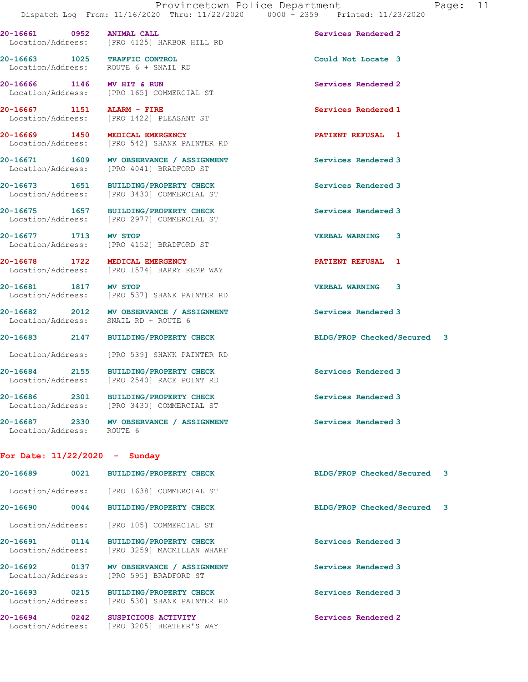Location/Address: ROUTE 6 + SNAIL RD 20-16666 1146 MV HIT & RUN Services Rendered 2 Location/Address: [PRO 165] COMMERCIAL ST 20-16667 1151 ALARM - FIRE<br>
Location/Address: [PRO 1422] PLEASANT ST Location/Address: [PRO 1422] PLEASANT ST 20-16669 1450 MEDICAL EMERGENCY **1450 PATIENT REFUSAL** 1 Location/Address: [PRO 542] SHANK PAINTER RD 20-16671 1609 MV OBSERVANCE / ASSIGNMENT Services Rendered 3 Location/Address: [PRO 4041] BRADFORD ST

Location/Address: [PRO 3430] COMMERCIAL ST

Location/Address: [PRO 4125] HARBOR HILL RD

20-16675 1657 BUILDING/PROPERTY CHECK Services Rendered 3 Location/Address: [PRO 2977] COMMERCIAL ST

20-16677 1713 MV STOP VERBAL WARNING 3 Location/Address: [PRO 4152] BRADFORD ST

20-16678 1722 MEDICAL EMERGENCY **1200 PATIENT REFUSAL** 1 Location/Address: [PRO 1574] HARRY KEMP WAY

20-16681 1817 MV STOP VERBAL WARNING 3 Location/Address: [PRO 537] SHANK PAINTER RD

20-16682 2012 MV OBSERVANCE / ASSIGNMENT Services Rendered 3<br>
Location/Address: SNAIL RD + ROUTE 6 SNAIL RD + ROUTE 6

Location/Address: [PRO 539] SHANK PAINTER RD

20-16684 2155 BUILDING/PROPERTY CHECK Services Rendered 3 [PRO 2540] RACE POINT RD

20-16686 2301 BUILDING/PROPERTY CHECK Services Rendered 3 Location/Address: [PRO 3430] COMMERCIAL ST

20-16687 2330 MV OBSERVANCE / ASSIGNMENT Services Rendered 3 Location/Address: ROUTE 6

## For Date: 11/22/2020 - Sunday

| 20-16689                      | 0021 | <b>BUILDING/PROPERTY CHECK</b>                               | BLDG/PROP Checked/Secured 3 |  |
|-------------------------------|------|--------------------------------------------------------------|-----------------------------|--|
| Location/Address:             |      | [PRO 1638] COMMERCIAL ST                                     |                             |  |
| 20-16690                      | 0044 | <b>BUILDING/PROPERTY CHECK</b>                               | BLDG/PROP Checked/Secured 3 |  |
| Location/Address:             |      | [PRO 105] COMMERCIAL ST                                      |                             |  |
| 20-16691<br>Location/Address: | 0114 | <b>BUILDING/PROPERTY CHECK</b><br>[PRO 3259] MACMILLAN WHARF | Services Rendered 3         |  |
| 20-16692<br>Location/Address: | 0137 | MV OBSERVANCE / ASSIGNMENT<br>[PRO 595] BRADFORD ST          | Services Rendered 3         |  |
| 20-16693<br>Location/Address: | 0215 | <b>BUILDING/PROPERTY CHECK</b><br>[PRO 530] SHANK PAINTER RD | Services Rendered 3         |  |
| 20-16694<br>Location/Address: | 0242 | SUSPICIOUS ACTIVITY<br>[PRO 3205] HEATHER'S WAY              | Services Rendered 2         |  |

20-16661 0952 ANIMAL CALL Services Rendered 2

20-16663 1025 TRAFFIC CONTROL Could Not Locate 3

20-16673 1651 BUILDING/PROPERTY CHECK Services Rendered 3

20-16683 2147 BUILDING/PROPERTY CHECK BLDG/PROP Checked/Secured 3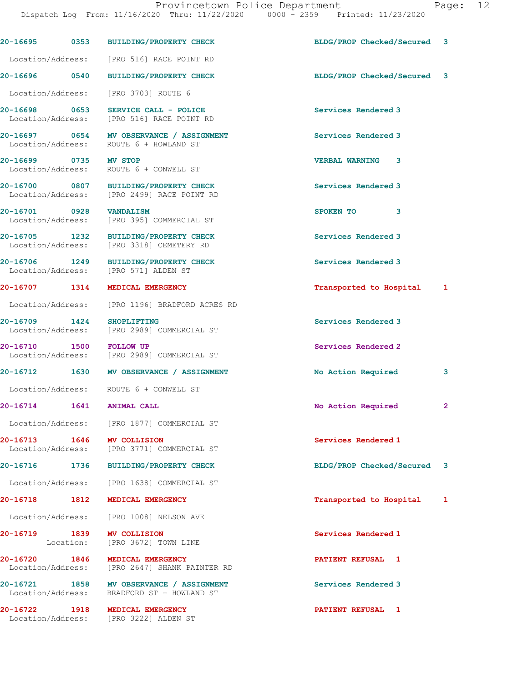|                                    | 20-16695 0353 BUILDING/PROPERTY CHECK                                                  | BLDG/PROP Checked/Secured | 3            |
|------------------------------------|----------------------------------------------------------------------------------------|---------------------------|--------------|
|                                    | Location/Address: [PRO 516] RACE POINT RD                                              |                           |              |
|                                    | 20-16696 0540 BUILDING/PROPERTY CHECK                                                  | BLDG/PROP Checked/Secured | 3            |
| Location/Address:                  | [PRO 3703] ROUTE 6                                                                     |                           |              |
|                                    | 20-16698 0653 SERVICE CALL - POLICE<br>Location/Address: [PRO 516] RACE POINT RD       | Services Rendered 3       |              |
|                                    | 20-16697 0654 MV OBSERVANCE / ASSIGNMENT<br>Location/Address: ROUTE 6 + HOWLAND ST     | Services Rendered 3       |              |
| 20-16699 0735 MV STOP              | Location/Address: ROUTE 6 + CONWELL ST                                                 | <b>VERBAL WARNING 3</b>   |              |
|                                    | 20-16700 0807 BUILDING/PROPERTY CHECK<br>Location/Address: [PRO 2499] RACE POINT RD    | Services Rendered 3       |              |
| 20-16701 0928 VANDALISM            | Location/Address: [PRO 395] COMMERCIAL ST                                              | SPOKEN TO<br>3            |              |
|                                    | 20-16705 1232 BUILDING/PROPERTY CHECK<br>Location/Address: [PRO 3318] CEMETERY RD      | Services Rendered 3       |              |
|                                    | 20-16706 1249 BUILDING/PROPERTY CHECK<br>Location/Address: [PRO 571] ALDEN ST          | Services Rendered 3       |              |
|                                    | 20-16707 1314 MEDICAL EMERGENCY                                                        | Transported to Hospital 1 |              |
| Location/Address:                  | [PRO 1196] BRADFORD ACRES RD                                                           |                           |              |
| 20-16709 1424<br>Location/Address: | <b>SHOPLIFTING</b><br>[PRO 2989] COMMERCIAL ST                                         | Services Rendered 3       |              |
| 20-16710 1500 FOLLOW UP            | Location/Address: [PRO 2989] COMMERCIAL ST                                             | Services Rendered 2       |              |
|                                    | 20-16712 1630 MV OBSERVANCE / ASSIGNMENT                                               | No Action Required        | 3            |
|                                    | Location/Address: ROUTE 6 + CONWELL ST                                                 |                           |              |
|                                    | 20-16714   1641   ANIMAL CALL                                                          | No Action Required        | $\mathbf{2}$ |
|                                    | Location/Address: [PRO 1877] COMMERCIAL ST                                             |                           |              |
|                                    | 20-16713 1646 MV COLLISION<br>Location/Address: [PRO 3771] COMMERCIAL ST               | Services Rendered 1       |              |
|                                    | 20-16716 1736 BUILDING/PROPERTY CHECK                                                  | BLDG/PROP Checked/Secured | 3            |
|                                    | Location/Address: [PRO 1638] COMMERCIAL ST                                             |                           |              |
|                                    | 20-16718 1812 MEDICAL EMERGENCY                                                        | Transported to Hospital   | 1            |
|                                    | Location/Address: [PRO 1008] NELSON AVE                                                |                           |              |
|                                    | 20-16719 1839 MV COLLISION<br>Location: [PRO 3672] TOWN LINE                           | Services Rendered 1       |              |
|                                    | 20-16720 1846 MEDICAL EMERGENCY<br>Location/Address: [PRO 2647] SHANK PAINTER RD       | PATIENT REFUSAL 1         |              |
|                                    | 20-16721 1858 MV OBSERVANCE / ASSIGNMENT<br>Location/Address: BRADFORD ST + HOWLAND ST | Services Rendered 3       |              |
|                                    | 20-16722 1918 MEDICAL EMERGENCY<br>Location/Address: [PRO 3222] ALDEN ST               | PATIENT REFUSAL 1         |              |